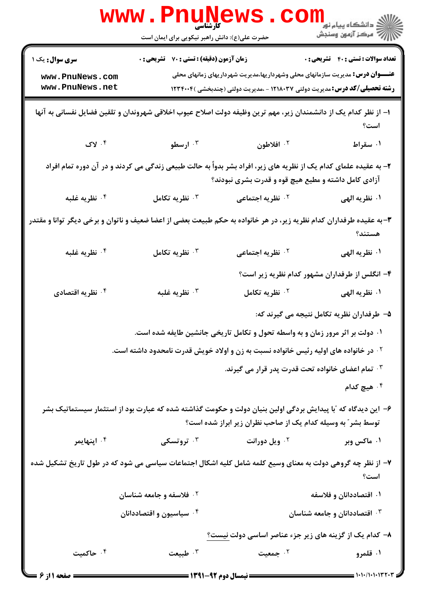|                                                                                                                                                                             | www.PnuNews<br>حضرت علی(ع): دانش راهبر نیکویی برای ایمان است                                     |                                                                                                                                                                            | ڪ دانشڪاه پيام نور<br> 7<br> 7 مرڪز آزمون وسنڊش |  |
|-----------------------------------------------------------------------------------------------------------------------------------------------------------------------------|--------------------------------------------------------------------------------------------------|----------------------------------------------------------------------------------------------------------------------------------------------------------------------------|-------------------------------------------------|--|
| <b>سری سوال :</b> یک ۱<br>www.PnuNews.com<br>www.PnuNews.net                                                                                                                | <b>زمان آزمون (دقیقه) : تستی : 70 ٪ تشریحی : 0</b>                                               | <b>عنــــوان درس:</b> مدیریت سازمانهای محلی وشهرداریها،مدیریت شهرداریهای زمانهای محلی<br><b>رشته تحصیلی/کد درس:</b> مدیریت دولتی ۱۲۱۸۰۳۷ - ،مدیریت دولتی (چندبخشی )۱۲۳۴۰۰۴ | <b>تعداد سوالات : تستي : 40 قشريحي : 0</b>      |  |
| ا– از نظر کدام یک از دانشمندان زیر، مهم ترین وظیفه دولت اصلاح عیوب اخلاقی شهروندان و تلقین فضایل نفسانی به آنها                                                             |                                                                                                  |                                                                                                                                                                            | است؟                                            |  |
| $\mathbf{y} \cdot \mathbf{y}$                                                                                                                                               | ۰۳ ارسطو                                                                                         | ۰۲ افلاطون                                                                                                                                                                 | ۰۱ سقراط                                        |  |
| ۲- به عقیده علمای کدام یک از نظریه های زیر، افراد بشر بدواً به حالت طبیعی زندگی می کردند و در آن دوره تمام افراد<br>آزادی کامل داشته و مطیع هیچ قوه و قدرت بشری نبودند؟     |                                                                                                  |                                                                                                                                                                            |                                                 |  |
| ۰ <sup>۴</sup> نظریه غلبه                                                                                                                                                   | نظريه تكامل $\cdot$                                                                              | <b>10 نظریه اجتماعی</b>                                                                                                                                                    | ۰۱ نظریه الهی                                   |  |
| ۳- به عقیده طرفداران کدام نظریه زیر، در هر خانواده به حکم طبیعت بعضی از اعضا ضعیف و ناتوان و برخی دیگر توانا و مقتدر<br>هستند؟                                              |                                                                                                  |                                                                                                                                                                            |                                                 |  |
| ۰ <sup>۴</sup> نظریه غلبه                                                                                                                                                   | نظريه تكامل $\cdot^{\mathsf{y}}$                                                                 | <b>7. نظریه اجتماعی</b>                                                                                                                                                    | ۰۱ نظریه الهی                                   |  |
|                                                                                                                                                                             |                                                                                                  |                                                                                                                                                                            | ۴- انگلس از طرفداران مشهور کدام نظریه زیر است؟  |  |
| نظریه اقتصادی $\cdot^{\mathfrak k}$                                                                                                                                         | نظريه غلبه $\cdot^{\mathsf{y}}$                                                                  | <sup>7.</sup> نظریه تکامل                                                                                                                                                  | ۰۱ نظریه الهی                                   |  |
|                                                                                                                                                                             |                                                                                                  |                                                                                                                                                                            | ۵– طرفداران نظریه تکامل نتیجه می گیرند که:      |  |
|                                                                                                                                                                             |                                                                                                  | ۰۱ دولت بر اثر مرور زمان و به واسطه تحول و تکامل تاریخی جانشین طایفه شده است.                                                                                              |                                                 |  |
|                                                                                                                                                                             | <sup>۲</sup> ۰ در خانواده های اولیه رئیس خانواده نسبت به زن و اولاد خویش قدرت نامحدود داشته است. |                                                                                                                                                                            |                                                 |  |
|                                                                                                                                                                             |                                                                                                  | ۰۳ تمام اعضای خانواده تحت قدرت پدر قرار می گیرند.                                                                                                                          |                                                 |  |
|                                                                                                                                                                             |                                                                                                  |                                                                                                                                                                            | ۰ <sup>۴</sup> هیچ کدام                         |  |
| ۶– این دیدگاه که آبا پیدایش بردگی اولین بنیان دولت و حکومت گذاشته شده که عبارت بود از استثمار سیستماتیک بشر<br>توسط بشر ؒ به وسیله کدام یک از صاحب نظران زیر ابراز شده است؟ |                                                                                                  |                                                                                                                                                                            |                                                 |  |
| ۰۴ اپنهایمر                                                                                                                                                                 | ۰ <sup>۳</sup> تروتسکی                                                                           | ۰ <sup>۲</sup> ویل دورانت                                                                                                                                                  | ۰۱ ماکس وبر                                     |  |
| ۷– از نظر چه گروهی دولت به معنای وسیع کلمه شامل کلیه اشکال اجتماعات سیاسی می شود که در طول تاریخ تشکیل شده                                                                  |                                                                                                  |                                                                                                                                                                            | است؟                                            |  |
|                                                                                                                                                                             | <sup>7</sup> فلاسفه و جامعه شناسان                                                               |                                                                                                                                                                            | ۰۱ اقتصاددانان و فلاسفه                         |  |
|                                                                                                                                                                             | ۰۴ سیاسیون و اقتصاددانان                                                                         |                                                                                                                                                                            | اقتصاددانان و جامعه شناسان $\cdot$              |  |
|                                                                                                                                                                             |                                                                                                  | ۸– کدام یک از گزینه های زیر جزء عناصر اساسی دولت <u>نیست؟</u>                                                                                                              |                                                 |  |
| ۰۴ حاکمیت                                                                                                                                                                   | طبيعت $\cdot$                                                                                    | ۰۲ جمعیت                                                                                                                                                                   | ۰۱ قلمرو                                        |  |
| <b>= صفحه 1 از 6 =</b>                                                                                                                                                      |                                                                                                  | ــــــــــــــــــ نیمسال دوم ۹۲-۱۳۹۱ ــــــــــ                                                                                                                           |                                                 |  |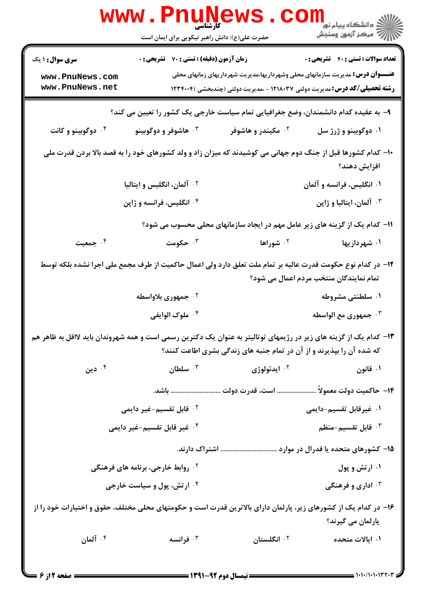|                                                                                                                                                        | www.PnuNews                                                                                                     |                                                                      | ر دانشگاه پيام نور <mark>− .</mark><br>ا∛ مرکز آزمون وسنجش                            |  |
|--------------------------------------------------------------------------------------------------------------------------------------------------------|-----------------------------------------------------------------------------------------------------------------|----------------------------------------------------------------------|---------------------------------------------------------------------------------------|--|
|                                                                                                                                                        | حضرت علی(ع): دانش راهبر نیکویی برای ایمان است                                                                   |                                                                      |                                                                                       |  |
| <b>سری سوال : ۱ یک</b>                                                                                                                                 | <b>زمان آزمون (دقیقه) : تستی : 70 ٪ تشریحی : 0</b>                                                              |                                                                      | <b>تعداد سوالات : تستي : 40 قشريحي : 0</b>                                            |  |
| www.PnuNews.com                                                                                                                                        |                                                                                                                 |                                                                      | <b>عنــــوان درس:</b> مدیریت سازمانهای محلی وشهرداریها،مدیریت شهرداریهای زمانهای محلی |  |
| www.PnuNews.net                                                                                                                                        |                                                                                                                 |                                                                      | <b>رشته تحصیلی/کد درس:</b> مدیریت دولتی ۱۲۱۸۰۳۷ - ،مدیریت دولتی (چندبخشی )۱۲۳۴۰۰۴     |  |
|                                                                                                                                                        | ۹– به عقیده کدام دانشمندان، وضع جغرافیایی تمام سیاست خارجی یک کشور را تعیین می کند؟                             |                                                                      |                                                                                       |  |
| ۰۴ دوگوبینو و کانت                                                                                                                                     | ۰۳ هاشوفر و دوگوبينو                                                                                            | ۰ <sup>۲</sup> مکیندر و هاشوفر                                       | ۰۱ دوگوبينو و ژرژ سل                                                                  |  |
| ∙ا− کدام کشورها قبل از جنگ دوم جهانی می کوشیدند که میزان زاد و ولد کشورهای خود را به قصد بالا بردن قدرت ملی<br>افزايش دهند؟                            |                                                                                                                 |                                                                      |                                                                                       |  |
|                                                                                                                                                        | <sup>۲</sup> ۰ آلمان، انگلیس و ایتالیا                                                                          |                                                                      | ۰۱ انگلیس، فرانسه و آلمان                                                             |  |
|                                                                                                                                                        | ۰۴ انگلیس، فرانسه و ژاپن                                                                                        |                                                                      | ۰۳ آلمان، ایتالیا و ژاپن                                                              |  |
|                                                                                                                                                        |                                                                                                                 |                                                                      | 11- کدام یک از گزینه های زیر عامل مهم در ایجاد سازمانهای محلی محسوب می شود؟           |  |
| ۰۴ جمعیت                                                                                                                                               | حکومت $\cdot$ "                                                                                                 | <sup>۰۲</sup> شوراها                                                 | ۰۱ شهرداریها                                                                          |  |
| ۱۲– در کدام نوع حکومت قدرت عالیه بر تمام ملت تعلق دارد ولی اعمال حاکمیت از طرف مجمع ملی اجرا نشده بلکه توسط<br>تمام نمایندگان منتخب مردم اعمال می شود؟ |                                                                                                                 |                                                                      |                                                                                       |  |
|                                                                                                                                                        | ۰ <sup>۲</sup> جمهوری بلاواسطه                                                                                  |                                                                      | ۰۱ سلطنتی مشروطه                                                                      |  |
|                                                                                                                                                        | ۰۴ ملوک الوايفي                                                                                                 |                                                                      | جمهوری مع الواسطه $\cdot$                                                             |  |
| ۱۳– کدام یک از گزینه های زیر در رژیمهای توتالیتر به عنوان یک دکترین رسمی است و همه شهروندان باید لااقل به ظاهر هم                                      |                                                                                                                 | که شده آن را بپذیرند و از آن در تمام جنبه های زندگی بشری اطاعت کنند؟ |                                                                                       |  |
| دين $\cdot$ ۴ $\,$                                                                                                                                     | سلطان $\cdot$                                                                                                   | ۰۲ ایدئولوژی                                                         | ۰۱ قانون                                                                              |  |
|                                                                                                                                                        |                                                                                                                 |                                                                      | ۱۴−  حاكميت دولت معمولاً  است، قدرت دولت  باشد.                                       |  |
|                                                                                                                                                        | <sup>7</sup> · قابل تقسیم-غیر دایمی                                                                             |                                                                      | ۰۱ غیرقابل تقسیم-دایمی                                                                |  |
|                                                                                                                                                        | ۰ <sup>۴</sup> غیر قابل تقسیم-غیر دایمی                                                                         |                                                                      | قابل تقسيم-منظم $\cdot$ "                                                             |  |
| اشتراک دارند.<br>۱۵– کشورهای متحده یا فدرال در موارد                                                                                                   |                                                                                                                 |                                                                      |                                                                                       |  |
|                                                                                                                                                        | <sup>۲</sup> ۰ روابط خارجی، برنامه های فرهنگی                                                                   |                                                                      | ۰۱ ارتش و پول                                                                         |  |
|                                                                                                                                                        | ۰۴ ارتش، پول و سیاست خارجی                                                                                      |                                                                      | ۰ <sup>۳</sup> اداری و فرهنگی                                                         |  |
|                                                                                                                                                        | ۱۶– در کدام یک از کشورهای زیر، پارلمان دارای بالاترین قدرت است و حکومتهای محلی مختلف، حقوق و اختیارات خود را از |                                                                      | پارلمان می گیرند؟                                                                     |  |
| ۰۴ آلمان                                                                                                                                               | ۰۳ فرانسه                                                                                                       | ۰۲ انگلستان                                                          | ۱. ایالات متحده                                                                       |  |
|                                                                                                                                                        |                                                                                                                 |                                                                      |                                                                                       |  |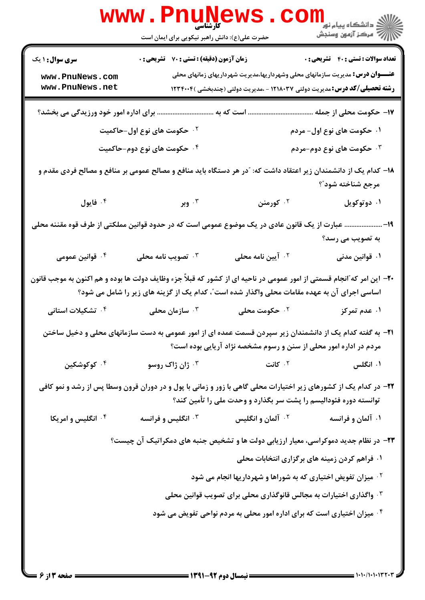|                                                                                                                                                                                      | <b>WWW.Pnugger</b><br>حضرت علی(ع): دانش راهبر نیکویی برای ایمان است                                                                   |                                                                                                                                                                                                                                                     | <sup>ال</sup> ڪ دانشڪاه پيام نور ■<br>  <i>  </i>  <br>  /   مرکز آزمون وسنڊش |  |  |
|--------------------------------------------------------------------------------------------------------------------------------------------------------------------------------------|---------------------------------------------------------------------------------------------------------------------------------------|-----------------------------------------------------------------------------------------------------------------------------------------------------------------------------------------------------------------------------------------------------|-------------------------------------------------------------------------------|--|--|
| <b>سری سوال : ۱ یک</b><br>www.PnuNews.com<br>www.PnuNews.net                                                                                                                         | زمان آزمون (دقیقه) : تستی : 70 گشریحی : 0                                                                                             | <b>عنــــوان درس:</b> مدیریت سازمانهای محلی وشهرداریها،مدیریت شهرداریهای زمانهای محلی<br><b>رشته تحصیلی/کد درس:</b> مدیریت دولتی ۱۲۱۸۰۳۷ - ،مدیریت دولتی (چندبخشی )۱۲۳۴۰۰۴                                                                          | <b>تعداد سوالات : تستی : 40 قشریحی : 0</b>                                    |  |  |
| برای اداره امور خود ورزیدگی می بخشد؟                                                                                                                                                 | است که به                                                                                                                             |                                                                                                                                                                                                                                                     | <mark>۱۷</mark> – حکومت محلی از جمله                                          |  |  |
|                                                                                                                                                                                      | <b>۲ ـ حکومت های نوع اول-حاکمیت</b>                                                                                                   |                                                                                                                                                                                                                                                     | ۰۱ حکومت های نوع اول- مردم                                                    |  |  |
|                                                                                                                                                                                      | ۰۴ حکومت های نوع دوم-حاکمیت                                                                                                           |                                                                                                                                                                                                                                                     | ۰۳ حکومت های نوع دوم-مردم                                                     |  |  |
|                                                                                                                                                                                      | ۱۸– کدام یک از دانشمندان زیر اعتقاد داشت که: "در هر دستگاه باید منافع و مصالح عمومی بر منافع و مصالح فردی مقدم و<br>مرجع شناخته شود"؟ |                                                                                                                                                                                                                                                     |                                                                               |  |  |
| ۰۴ فايول                                                                                                                                                                             | ۰۳ وبر                                                                                                                                | ۰۲ کورمنن                                                                                                                                                                                                                                           | ۰۱ دوتوکویل                                                                   |  |  |
|                                                                                                                                                                                      |                                                                                                                                       | عبارت از یک قانون عادی در یک موضوع عمومی است که در حدود قوانین مملکتی از طرف قوه مقننه محلی                                                                                                                                                         | –19<br>به تصویب می رسد؟                                                       |  |  |
| ۰۴ قوانین عمومی                                                                                                                                                                      | ۰۳ تصویب نامه محلی                                                                                                                    | ۰ <sup>۲</sup> آیین نامه محلی                                                                                                                                                                                                                       | ۰۱ قوانین مدنی                                                                |  |  |
| ۰۴ تشکیلات استانی                                                                                                                                                                    | سازمان محلی $\cdot^{\mathsf{y}}$                                                                                                      | +۲- این امر که ؒانجام قسمتی از امور عمومی در ناحیه ای از کشور که قبلاً جزء وظایف دولت ها بوده و هم اکنون به موجب قانون<br>اساسی اجرای آن به عهده مقامات محلی واگذار شده است"، کدام یک از گزینه های زیر را شامل می شود؟<br>۰ <sup>۲</sup> حکومت محلی | ۰۱ عدم تمرکز                                                                  |  |  |
|                                                                                                                                                                                      |                                                                                                                                       |                                                                                                                                                                                                                                                     |                                                                               |  |  |
|                                                                                                                                                                                      |                                                                                                                                       | ۲۱– به گفته کدام یک از دانشمندان زیر سپردن قسمت عمده ای از امور عمومی به دست سازمانهای محلی و دخیل ساختن<br>مردم در اداره امور محلی از سنن و رسوم مشخصه نژاد آریایی بوده است؟                                                                       |                                                                               |  |  |
| ۰۴ کوکوشکین                                                                                                                                                                          | ۰ <sup>۳</sup> ژان ژاک روسو                                                                                                           | ۰۲ کانت                                                                                                                                                                                                                                             | ۰۱ انگلس                                                                      |  |  |
| ۲۲– در کدام یک از کشورهای زیر اختیارات محلی گاهی با زور و زمانی با پول و در دوران قرون وسطا پس از رشد و نمو کافی<br>توانسته دوره فئودالیسم را پشت سر بگذارد و وحدت ملی را تأمین کند؟ |                                                                                                                                       |                                                                                                                                                                                                                                                     |                                                                               |  |  |
| ۰ <sup>۴</sup> انگلیس و امریکا                                                                                                                                                       | انگلیس و فرانسه $\cdot$ "                                                                                                             | <sup>۲.</sup> آلمان و انگلیس                                                                                                                                                                                                                        | ۰۱ آلمان و فرانسه                                                             |  |  |
|                                                                                                                                                                                      |                                                                                                                                       | ۲۳- در نظام جدید دموکراسی، معیار ارزیابی دولت ها و تشخیص جنبه های دمکراتیک آن چیست؟                                                                                                                                                                 |                                                                               |  |  |
|                                                                                                                                                                                      |                                                                                                                                       | ۰۱ فراهم کردن زمینه های برگزاری انتخابات محلی                                                                                                                                                                                                       |                                                                               |  |  |
|                                                                                                                                                                                      |                                                                                                                                       | <b>گ میزان تفویض اختیاری که به شوراها و شهرداریها انجام می شود</b>                                                                                                                                                                                  |                                                                               |  |  |
| ۰۳ واگذاری اختیارات به مجالس قانوگذاری محلی برای تصویب قوانین محلی                                                                                                                   |                                                                                                                                       |                                                                                                                                                                                                                                                     |                                                                               |  |  |
|                                                                                                                                                                                      |                                                                                                                                       | ۰۴ میزان اختیاری است که برای اداره امور محلی به مردم نواحی تفویض می شود                                                                                                                                                                             |                                                                               |  |  |
|                                                                                                                                                                                      |                                                                                                                                       |                                                                                                                                                                                                                                                     |                                                                               |  |  |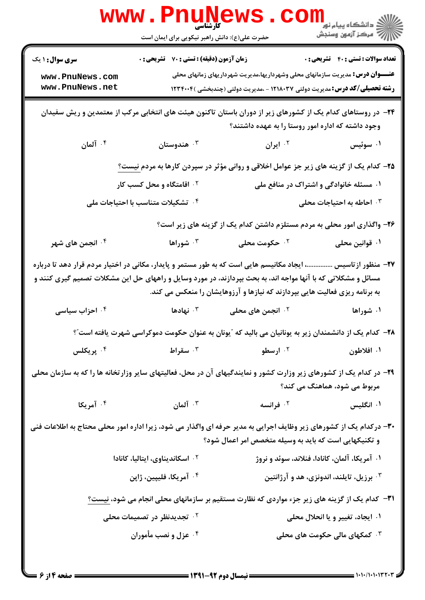|                                                                                                                                                                                                                                                                                                              | <b>WWW.PNUNEWS.</b><br>حضرت علی(ع): دانش راهبر نیکویی برای ایمان است |                                                                                                                                                                            | الاد دانشگاه پيام نور دا<br>الاس مرکز آزمون وسنجش |  |
|--------------------------------------------------------------------------------------------------------------------------------------------------------------------------------------------------------------------------------------------------------------------------------------------------------------|----------------------------------------------------------------------|----------------------------------------------------------------------------------------------------------------------------------------------------------------------------|---------------------------------------------------|--|
| <b>سری سوال : ۱ یک</b>                                                                                                                                                                                                                                                                                       | <b>زمان آزمون (دقیقه) : تستی : 70 گشریحی : 0</b>                     |                                                                                                                                                                            | <b>تعداد سوالات : تستي : 40 قشريحي : 0</b>        |  |
| www.PnuNews.com<br>www.PnuNews.net                                                                                                                                                                                                                                                                           |                                                                      | <b>عنــــوان درس:</b> مدیریت سازمانهای محلی وشهرداریها،مدیریت شهرداریهای زمانهای محلی<br><b>رشته تحصیلی/کد درس:</b> مدیریت دولتی ۱۲۱۸۰۳۷ - ،مدیریت دولتی (چندبخشی )۱۲۳۴۰۰۴ |                                                   |  |
| ۲۴– در روستاهای کدام یک از کشورهای زیر از دوران باستان تاکنون هیئت های انتخابی مرکب از معتمدین و ریش سفیدان<br>وجود داشته که اداره امور روستا را به عهده داشتند؟                                                                                                                                             |                                                                      |                                                                                                                                                                            |                                                   |  |
| ا آلمان $\cdot$ $^{\mathsf{f}}$                                                                                                                                                                                                                                                                              | هندوستان $\cdot$ ۳                                                   | <sup>۲.</sup> ایران                                                                                                                                                        | ۰۱ سوئیس                                          |  |
|                                                                                                                                                                                                                                                                                                              |                                                                      | <b>۲۵</b> – کدام یک از گزینه های زیر جز عوامل اخلاقی و روانی مؤثر در سپردن کارها به مردم نیست <u>؟</u>                                                                     |                                                   |  |
|                                                                                                                                                                                                                                                                                                              | <sup>۲ .</sup> اقامتگاه و محل کسب کار                                |                                                                                                                                                                            | ۰۱ مسئله خانوادگی و اشتراک در منافع ملی           |  |
|                                                                                                                                                                                                                                                                                                              | ۰۴ تشکیلات متناسب با احتیاجات مل <i>ی</i>                            |                                                                                                                                                                            | ۰۳ احاطه به احتیاجات محلی                         |  |
|                                                                                                                                                                                                                                                                                                              |                                                                      | ۲۶- واگذاری امور محلی به مردم مستلزم داشتن کدام یک از گزینه های زیر است؟                                                                                                   |                                                   |  |
| ۰۴ انجمن های شهر                                                                                                                                                                                                                                                                                             | ۰ <sup>۳</sup> شوراها                                                | ۰ <sup>۲</sup> حکومت محلی                                                                                                                                                  | ۰۱ قوانین محلی                                    |  |
| ۲۷– منظور ازتاسیس ، ایجاد مکانیسم هایی است که به طور مستمر و پایدار، مکانی در اختیار مردم قرار دهد تا درباره<br>مسائل و مشکلاتی که با آنها مواجه اند، به بحث بپردازند، در مورد وسایل و راههای حل این مشکلات تصمیم گیری کنند و<br>به برنامه ریزی فعالیت هایی بپردازند که نیازها و آرزوهایشان را منعکس می کند. |                                                                      |                                                                                                                                                                            |                                                   |  |
| ۰۴ احزاب سیاسی                                                                                                                                                                                                                                                                                               | نهادها $\cdot$ $^{\circ}$                                            | ۰ <sup>۲</sup> انجمن های محلی                                                                                                                                              | ۰۱ شوراها                                         |  |
|                                                                                                                                                                                                                                                                                                              |                                                                      | ۲۸– کدام یک از دانشمندان زیر به یونانیان می بالید که ″یونان به عنوان حکومت دموکراسی شهرت یافته است″؟                                                                       |                                                   |  |
| ۰ <sup>۴</sup> پريکلس                                                                                                                                                                                                                                                                                        | ۰ <sup>۲</sup> ارسطو میستران استراط به این کشور است.                 |                                                                                                                                                                            | ۰۱ افلاطون                                        |  |
| ۲۹- در کدام یک از کشورهای زیر وزارت کشور و نمایندگیهای آن در محل، فعالیتهای سایر وزارتخانه ها را که به سازمان محلی<br>مربوط می شود، هماهنگ می کند؟                                                                                                                                                           |                                                                      |                                                                                                                                                                            |                                                   |  |
| ۰۴ آمریکا                                                                                                                                                                                                                                                                                                    | ا آلمان $\cdot$ "                                                    | ۰ <sup>۲</sup> فرانسه                                                                                                                                                      | ۰۱ انگلیس                                         |  |
| ۳۰- درکدام یک از کشورهای زیر وظایف اجرایی به مدیر حرفه ای واگذار می شود، زیرا اداره امور محلی محتاج به اطلاعات فنی<br>و تکنیکهایی است که باید به وسیله متخصص امر اعمال شود؟                                                                                                                                  |                                                                      |                                                                                                                                                                            |                                                   |  |
| ۰۱ آمریکا، آلمان، کانادا، فنلاند، سوئد و نروژ<br>۰۲ اسکاندیناوی، ایتالیا، کانادا                                                                                                                                                                                                                             |                                                                      |                                                                                                                                                                            |                                                   |  |
| ۰۳ برزیل، تایلند، اندونزی، هد و آرژانتین<br>۰ <sup>۴</sup> آمریکا، فلیپین، ژاپن                                                                                                                                                                                                                              |                                                                      |                                                                                                                                                                            |                                                   |  |
|                                                                                                                                                                                                                                                                                                              |                                                                      | ۳۱– کدام یک از گزینه های زیر جزء مواردی که نظارت مستقیم بر سازمانهای محلی انجام می شود، <u>نیست؟</u>                                                                       |                                                   |  |
|                                                                                                                                                                                                                                                                                                              | ۰ <sup>۲ ت</sup> جدیدنظر در تصمیمات محلی                             |                                                                                                                                                                            | ۰۱ ایجاد، تغییر و یا انحلال محلی                  |  |
|                                                                                                                                                                                                                                                                                                              | ۰۴ عزل و نصب مأموران                                                 |                                                                                                                                                                            | ۰۳ کمکهای مالی حکومت های محلی                     |  |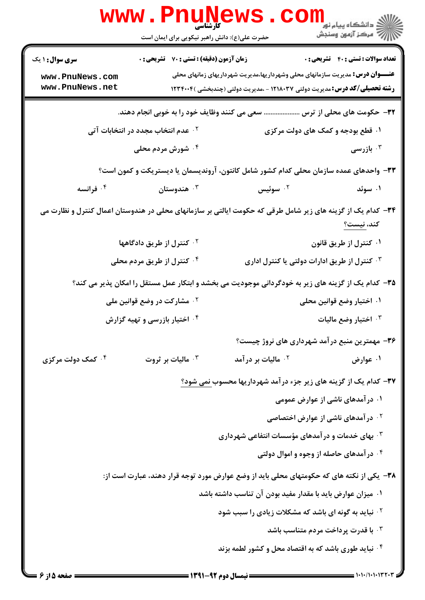|                                                                                                          | www.PnuNews                                                        |                                                            |                                                                                                             |  |  |
|----------------------------------------------------------------------------------------------------------|--------------------------------------------------------------------|------------------------------------------------------------|-------------------------------------------------------------------------------------------------------------|--|--|
|                                                                                                          | حضرت علی(ع): دانش راهبر نیکویی برای ایمان است                      |                                                            | الاد دانشگاه پيام نو <b>ر LL</b><br>الاد مرکز آزمون وسنجش                                                   |  |  |
| <b>سری سوال : ۱ یک</b>                                                                                   | <b>زمان آزمون (دقیقه) : تستی : 70 ٪ تشریحی : 0</b>                 |                                                            | <b>تعداد سوالات : تستي : 40 ٪ تشريحي : 0</b>                                                                |  |  |
| <b>عنــــوان درس:</b> مدیریت سازمانهای محلی وشهرداریها،مدیریت شهرداریهای زمانهای محلی<br>www.PnuNews.com |                                                                    |                                                            |                                                                                                             |  |  |
| www.PnuNews.net                                                                                          |                                                                    |                                                            | <b>رشته تحصیلی/کد درس:</b> مدیریت دولتی ۱۲۱۸۰۳۷ - ،مدیریت دولتی (چندبخشی )۱۲۳۴۰۰۴                           |  |  |
| ٣٢- حکومت های محلی از ترس  سعی می کنند وظایف خود را به خوبی انجام دهند.                                  |                                                                    |                                                            |                                                                                                             |  |  |
|                                                                                                          | ۰۲ عدم انتخاب مجدد در انتخابات آتی                                 |                                                            | ۰۱ قطع بودجه و کمک های دولت مرکزی                                                                           |  |  |
|                                                                                                          | ۰ <sup>۴</sup> شورش مردم محلی                                      |                                                            | ا بازرسی $\cdot^{\mathsf{v}}$                                                                               |  |  |
| ۳۳– واحدهای عمده سازمان محلی کدام کشور شامل کانتون، آروندیسمان یا دیستریکت و کمون است؟                   |                                                                    |                                                            |                                                                                                             |  |  |
| ۰۴ فرانسه                                                                                                | هندوستان $\cdot^{\mathsf{v}}$                                      | ۰ <sup>۲</sup> سوئیس                                       | ۰۱ سوئد                                                                                                     |  |  |
|                                                                                                          |                                                                    |                                                            | ۳۴– کدام یک از گزینه های زیر شامل طرقی که حکومت ایالتی بر سازمانهای محلی در هندوستان اعمال کنترل و نظارت می |  |  |
|                                                                                                          |                                                                    |                                                            | كند، نيست؟                                                                                                  |  |  |
|                                                                                                          | <sup>۲.</sup> کنترل از طریق دادگاهها                               |                                                            | ۰۱ کنترل از طریق قانون                                                                                      |  |  |
|                                                                                                          | <sup>۴.</sup> کنترل از طریق مردم محلی                              |                                                            | د کنترل از طریق ادارات دولتی یا کنترل اداری $\cdot$                                                         |  |  |
|                                                                                                          |                                                                    |                                                            | ۳۵– کدام یک از گزینه های زیر به خودگردانی موجودیت می بخشد و ابتکار عمل مستقل را امکان پذیر می کند؟          |  |  |
|                                                                                                          | <sup>۲ .</sup> مشارکت در وضع قوانین ملی                            |                                                            | ۰۱ اختیار وضع قوانین محلی                                                                                   |  |  |
|                                                                                                          | ۰۴ اختیار بازرسی و تهیه گزارش                                      |                                                            | اختيار وضع ماليات $\cdot^{\mathtt{w}}$                                                                      |  |  |
|                                                                                                          |                                                                    |                                                            | ۳۶- مهمترین منبع درآمد شهرداری های نروژ چیست؟                                                               |  |  |
| ۰۴ کمک دولت مرکزی                                                                                        | ماليات بر ثروت $\cdot^7$                                           | ۰ <sup>۲</sup> مالیات بر در آمد                            | ۰۱ عوارض                                                                                                    |  |  |
|                                                                                                          |                                                                    |                                                            | <b>۳۷- کدام یک از گزینه های زیر جزء درآمد شهرداریها محسوب نمی شود؟</b>                                      |  |  |
|                                                                                                          |                                                                    |                                                            | ۰۱ در آمدهای ناشی از عوارض عمومی                                                                            |  |  |
|                                                                                                          |                                                                    |                                                            | <b>گ در آمدهای ناشی از عوارض اختصاصی</b>                                                                    |  |  |
|                                                                                                          | بهای خدمات و در آمدهای مؤسسات انتفاعی شهرداری $\cdot^{\texttt{w}}$ |                                                            |                                                                                                             |  |  |
| ۰۴ در آمدهای حاصله از وجوه و اموال دولتی                                                                 |                                                                    |                                                            |                                                                                                             |  |  |
| ۳۸– یکی از نکته های که حکومتهای محلی باید از وضع عوارض مورد توجه قرار دهند، عبارت است از:                |                                                                    |                                                            |                                                                                                             |  |  |
|                                                                                                          |                                                                    | ۰۱ میزان عوارض باید با مقدار مفید بودن آن تناسب داشته باشد |                                                                                                             |  |  |
|                                                                                                          |                                                                    | <b>گ نباید به گونه ای باشد که مشکلات زیادی را سبب شود</b>  |                                                                                                             |  |  |
|                                                                                                          |                                                                    |                                                            | <b>۳ و اقدرت پرداخت مردم متناسب باشد</b> $\cdot$                                                            |  |  |
|                                                                                                          |                                                                    | ۰۴ نباید طوری باشد که به اقتصاد محل و کشور لطمه بزند       |                                                                                                             |  |  |
|                                                                                                          |                                                                    |                                                            |                                                                                                             |  |  |